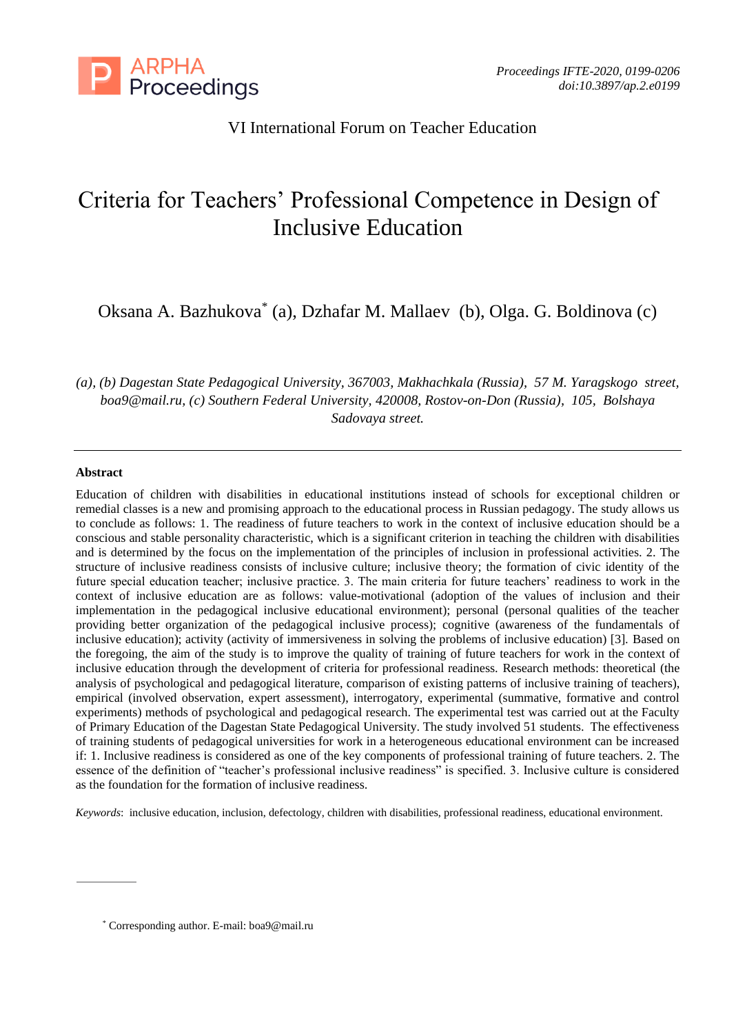

# VI International Forum on Teacher Education

# Criteria for Teachers' Professional Competence in Design of Inclusive Education

Oksana A. Bazhukova\* (a), Dzhafar M. Mallaev (b), Olga. G. Boldinova (c)

*(a), (b) Dagestan State Pedagogical University, 367003, Makhachkala (Russia), 57 M. Yaragskogo street, [boa9@mail.ru,](mailto:boa9@mail.ru) (c) Southern Federal University, 420008, Rostov-on-Don (Russia), 105, Bolshaya Sadovaya street.*

## **Abstract**

Education of children with disabilities in educational institutions instead of schools for exceptional children or remedial classes is a new and promising approach to the educational process in Russian pedagogy. The study allows us to conclude as follows: 1. The readiness of future teachers to work in the context of inclusive education should be a conscious and stable personality characteristic, which is a significant criterion in teaching the children with disabilities and is determined by the focus on the implementation of the principles of inclusion in professional activities. 2. The structure of inclusive readiness consists of inclusive culture; inclusive theory; the formation of civic identity of the future special education teacher; inclusive practice. 3. The main criteria for future teachers' readiness to work in the context of inclusive education are as follows: value-motivational (adoption of the values of inclusion and their implementation in the pedagogical inclusive educational environment); personal (personal qualities of the teacher providing better organization of the pedagogical inclusive process); cognitive (awareness of the fundamentals of inclusive education); activity (activity of immersiveness in solving the problems of inclusive education) [3]. Based on the foregoing, the aim of the study is to improve the quality of training of future teachers for work in the context of inclusive education through the development of criteria for professional readiness. Research methods: theoretical (the analysis of psychological and pedagogical literature, comparison of existing patterns of inclusive training of teachers), empirical (involved observation, expert assessment), interrogatory, experimental (summative, formative and control experiments) methods of psychological and pedagogical research. The experimental test was carried out at the Faculty of Primary Education of the Dagestan State Pedagogical University. The study involved 51 students. The effectiveness of training students of pedagogical universities for work in a heterogeneous educational environment can be increased if: 1. Inclusive readiness is considered as one of the key components of professional training of future teachers. 2. The essence of the definition of "teacher's professional inclusive readiness" is specified. 3. Inclusive culture is considered as the foundation for the formation of inclusive readiness.

*Keywords*: inclusive education, inclusion, defectology, children with disabilities, professional readiness, educational environment.

<sup>\*</sup> Corresponding author. E-mail: boa9@mail.ru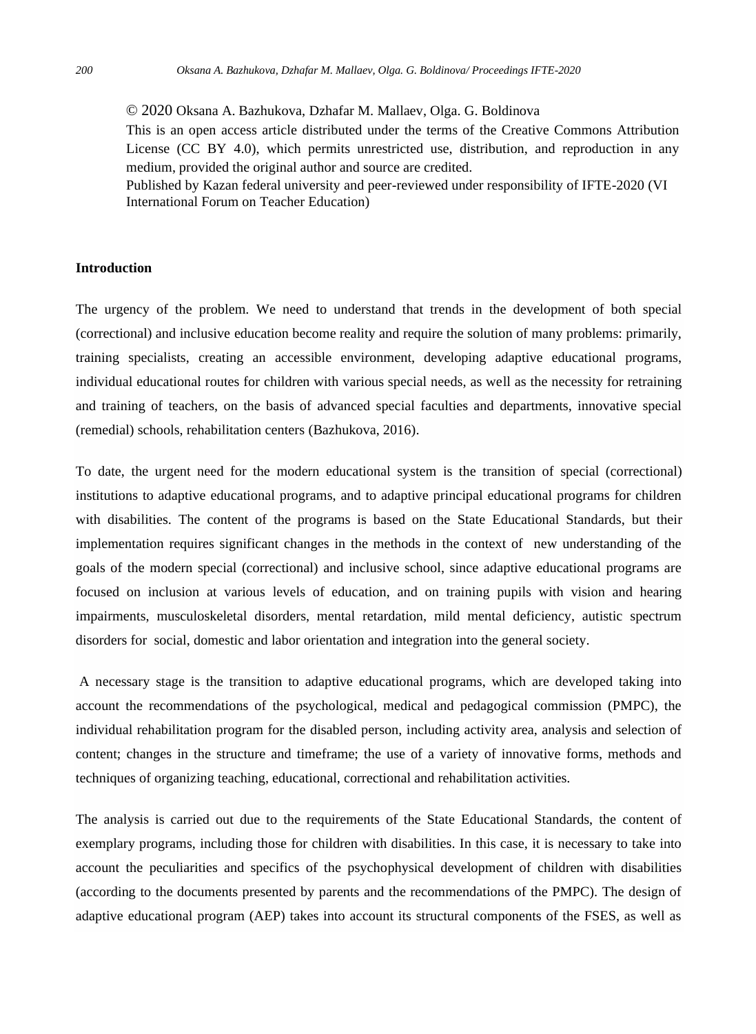© 2020 Oksana A. Bazhukova, Dzhafar M. Mallaev, Olga. G. Boldinova This is an open access article distributed under the terms of the Creative Commons Attribution License (CC BY 4.0), which permits unrestricted use, distribution, and reproduction in any medium, provided the original author and source are credited. Published by Kazan federal university and peer-reviewed under responsibility of IFTE-2020 (VI

International Forum on Teacher Education)

#### **Introduction**

The urgency of the problem. We need to understand that trends in the development of both special (correctional) and inclusive education become reality and require the solution of many problems: primarily, training specialists, creating an accessible environment, developing adaptive educational programs, individual educational routes for children with various special needs, as well as the necessity for retraining and training of teachers, on the basis of advanced special faculties and departments, innovative special (remedial) schools, rehabilitation centers (Bazhukova, 2016).

To date, the urgent need for the modern educational system is the transition of special (correctional) institutions to adaptive educational programs, and to adaptive principal educational programs for children with disabilities. The content of the programs is based on the State Educational Standards, but their implementation requires significant changes in the methods in the context of new understanding of the goals of the modern special (correctional) and inclusive school, since adaptive educational programs are focused on inclusion at various levels of education, and on training pupils with vision and hearing impairments, musculoskeletal disorders, mental retardation, mild mental deficiency, autistic spectrum disorders for social, domestic and labor orientation and integration into the general society.

A necessary stage is the transition to adaptive educational programs, which are developed taking into account the recommendations of the psychological, medical and pedagogical commission (PMPC), the individual rehabilitation program for the disabled person, including activity area, analysis and selection of content; changes in the structure and timeframe; the use of a variety of innovative forms, methods and techniques of organizing teaching, educational, correctional and rehabilitation activities.

The analysis is carried out due to the requirements of the State Educational Standards, the content of exemplary programs, including those for children with disabilities. In this case, it is necessary to take into account the peculiarities and specifics of the psychophysical development of children with disabilities (according to the documents presented by parents and the recommendations of the PMPC). The design of adaptive educational program (AEP) takes into account its structural components of the FSES, as well as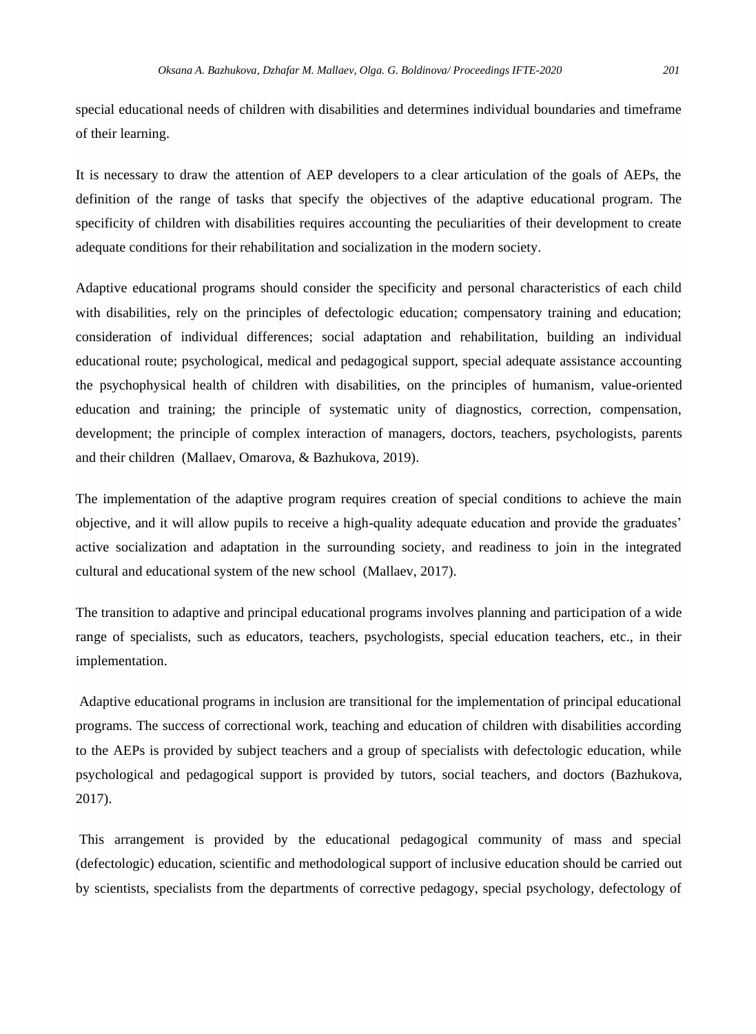special educational needs of children with disabilities and determines individual boundaries and timeframe of their learning.

It is necessary to draw the attention of AEP developers to a clear articulation of the goals of AEPs, the definition of the range of tasks that specify the objectives of the adaptive educational program. The specificity of children with disabilities requires accounting the peculiarities of their development to create adequate conditions for their rehabilitation and socialization in the modern society.

Adaptive educational programs should consider the specificity and personal characteristics of each child with disabilities, rely on the principles of defectologic education; compensatory training and education; consideration of individual differences; social adaptation and rehabilitation, building an individual educational route; psychological, medical and pedagogical support, special adequate assistance accounting the psychophysical health of children with disabilities, on the principles of humanism, value-oriented education and training; the principle of systematic unity of diagnostics, correction, compensation, development; the principle of complex interaction of managers, doctors, teachers, psychologists, parents and their children (Mallaev, Omarova, & Bazhukova, 2019).

The implementation of the adaptive program requires creation of special conditions to achieve the main objective, and it will allow pupils to receive a high-quality adequate education and provide the graduates' active socialization and adaptation in the surrounding society, and readiness to join in the integrated cultural and educational system of the new school (Mallaev, 2017).

The transition to adaptive and principal educational programs involves planning and participation of a wide range of specialists, such as educators, teachers, psychologists, special education teachers, etc., in their implementation.

Adaptive educational programs in inclusion are transitional for the implementation of principal educational programs. The success of correctional work, teaching and education of children with disabilities according to the AEPs is provided by subject teachers and a group of specialists with defectologic education, while psychological and pedagogical support is provided by tutors, social teachers, and doctors (Bazhukova, 2017).

This arrangement is provided by the educational pedagogical community of mass and special (defectologic) education, scientific and methodological support of inclusive education should be carried out by scientists, specialists from the departments of corrective pedagogy, special psychology, defectology of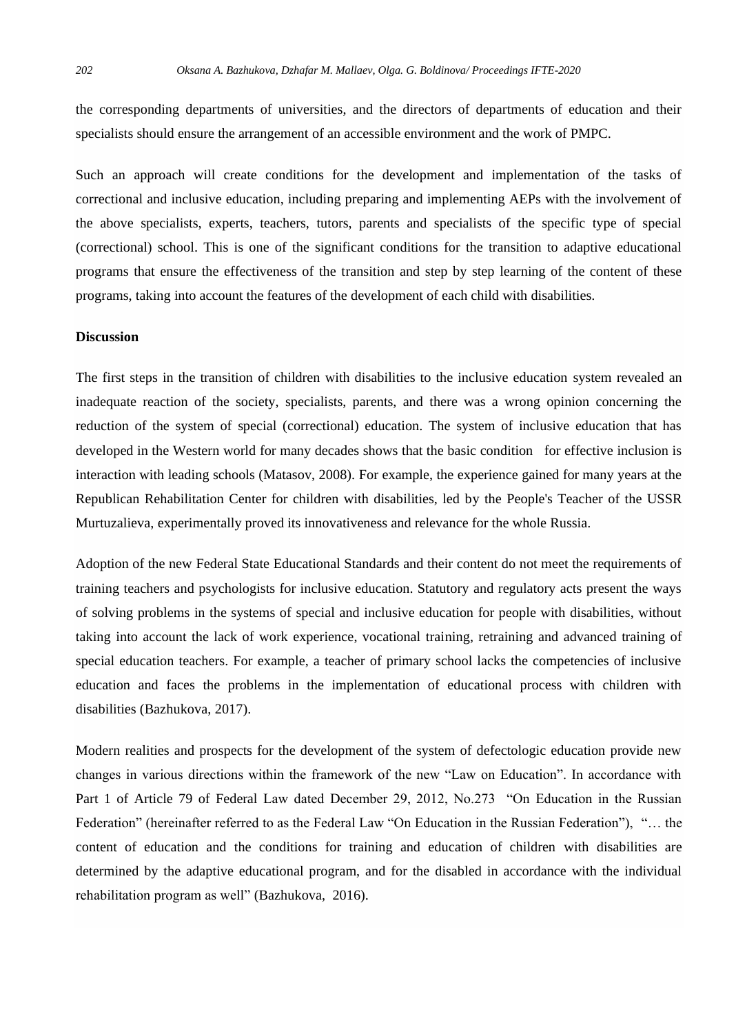the corresponding departments of universities, and the directors of departments of education and their specialists should ensure the arrangement of an accessible environment and the work of PMPC.

Such an approach will create conditions for the development and implementation of the tasks of correctional and inclusive education, including preparing and implementing AEPs with the involvement of the above specialists, experts, teachers, tutors, parents and specialists of the specific type of special (correctional) school. This is one of the significant conditions for the transition to adaptive educational programs that ensure the effectiveness of the transition and step by step learning of the content of these programs, taking into account the features of the development of each child with disabilities.

# **Discussion**

The first steps in the transition of children with disabilities to the inclusive education system revealed an inadequate reaction of the society, specialists, parents, and there was a wrong opinion concerning the reduction of the system of special (correctional) education. The system of inclusive education that has developed in the Western world for many decades shows that the basic condition for effective inclusion is interaction with leading schools (Matasov, 2008). For example, the experience gained for many years at the Republican Rehabilitation Center for children with disabilities, led by the People's Teacher of the USSR Murtuzalieva, experimentally proved its innovativeness and relevance for the whole Russia.

Adoption of the new Federal State Educational Standards and their content do not meet the requirements of training teachers and psychologists for inclusive education. Statutory and regulatory acts present the ways of solving problems in the systems of special and inclusive education for people with disabilities, without taking into account the lack of work experience, vocational training, retraining and advanced training of special education teachers. For example, a teacher of primary school lacks the competencies of inclusive education and faces the problems in the implementation of educational process with children with disabilities (Bazhukova, 2017).

Modern realities and prospects for the development of the system of defectologic education provide new changes in various directions within the framework of the new "Law on Education". In accordance with Part 1 of Article 79 of Federal Law dated December 29, 2012, No.273 "On Education in the Russian Federation" (hereinafter referred to as the Federal Law "On Education in the Russian Federation"), "… the content of education and the conditions for training and education of children with disabilities are determined by the adaptive educational program, and for the disabled in accordance with the individual rehabilitation program as well" (Bazhukova, 2016).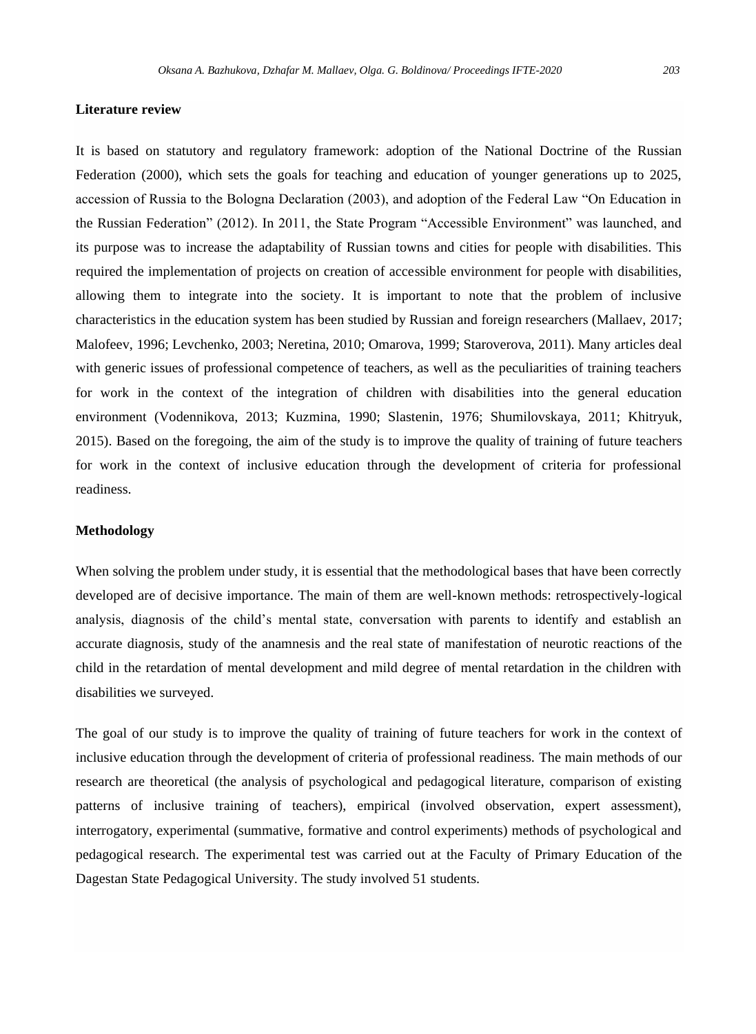# **Literature review**

It is based on statutory and regulatory framework: adoption of the National Doctrine of the Russian Federation (2000), which sets the goals for teaching and education of younger generations up to 2025, accession of Russia to the Bologna Declaration (2003), and adoption of the Federal Law "On Education in the Russian Federation" (2012). In 2011, the State Program "Accessible Environment" was launched, and its purpose was to increase the adaptability of Russian towns and cities for people with disabilities. This required the implementation of projects on creation of accessible environment for people with disabilities, allowing them to integrate into the society. It is important to note that the problem of inclusive characteristics in the education system has been studied by Russian and foreign researchers (Mallaev, 2017; Malofeev, 1996; Levchenko, 2003; Neretina, 2010; Omarova, 1999; Staroverova, 2011). Many articles deal with generic issues of professional competence of teachers, as well as the peculiarities of training teachers for work in the context of the integration of children with disabilities into the general education environment (Vodennikova, 2013; Kuzmina, 1990; Slastenin, 1976; Shumilovskaya, 2011; Khitryuk, 2015). Based on the foregoing, the aim of the study is to improve the quality of training of future teachers for work in the context of inclusive education through the development of criteria for professional readiness.

#### **Methodology**

When solving the problem under study, it is essential that the methodological bases that have been correctly developed are of decisive importance. The main of them are well-known methods: retrospectively-logical analysis, diagnosis of the child's mental state, conversation with parents to identify and establish an accurate diagnosis, study of the anamnesis and the real state of manifestation of neurotic reactions of the child in the retardation of mental development and mild degree of mental retardation in the children with disabilities we surveyed.

The goal of our study is to improve the quality of training of future teachers for work in the context of inclusive education through the development of criteria of professional readiness. The main methods of our research are theoretical (the analysis of psychological and pedagogical literature, comparison of existing patterns of inclusive training of teachers), empirical (involved observation, expert assessment), interrogatory, experimental (summative, formative and control experiments) methods of psychological and pedagogical research. The experimental test was carried out at the Faculty of Primary Education of the Dagestan State Pedagogical University. The study involved 51 students.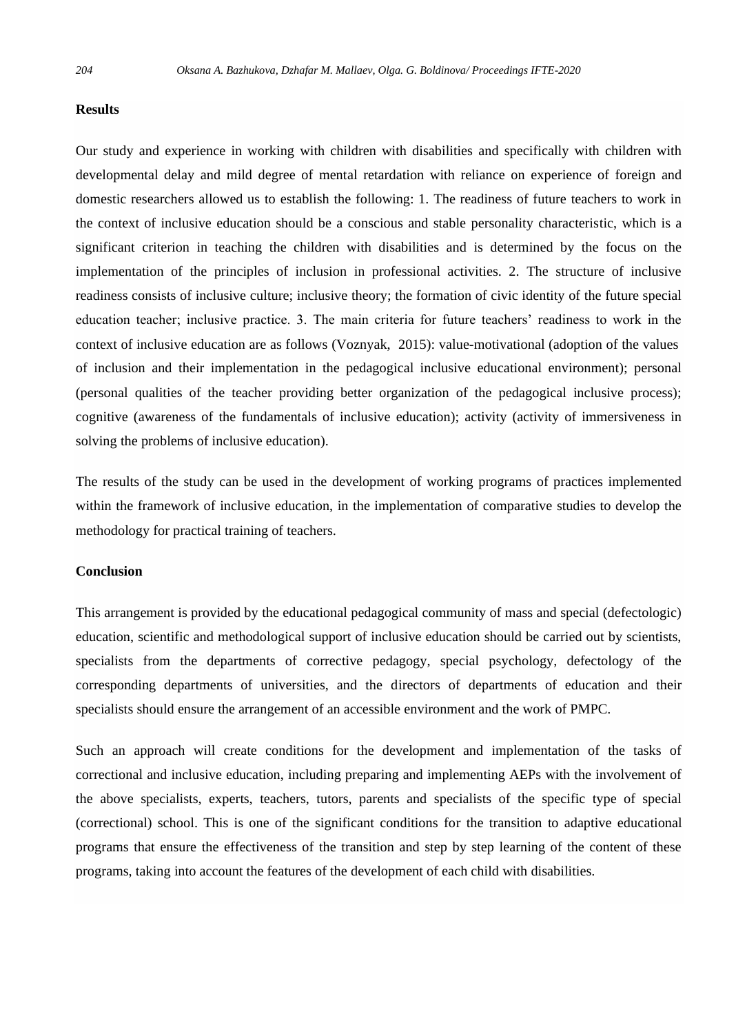## **Results**

Our study and experience in working with children with disabilities and specifically with children with developmental delay and mild degree of mental retardation with reliance on experience of foreign and domestic researchers allowed us to establish the following: 1. The readiness of future teachers to work in the context of inclusive education should be a conscious and stable personality characteristic, which is a significant criterion in teaching the children with disabilities and is determined by the focus on the implementation of the principles of inclusion in professional activities. 2. The structure of inclusive readiness consists of inclusive culture; inclusive theory; the formation of civic identity of the future special education teacher; inclusive practice. 3. The main criteria for future teachers' readiness to work in the context of inclusive education are as follows (Voznyak, 2015): value-motivational (adoption of the values of inclusion and their implementation in the pedagogical inclusive educational environment); personal (personal qualities of the teacher providing better organization of the pedagogical inclusive process); cognitive (awareness of the fundamentals of inclusive education); activity (activity of immersiveness in solving the problems of inclusive education).

The results of the study can be used in the development of working programs of practices implemented within the framework of inclusive education, in the implementation of comparative studies to develop the methodology for practical training of teachers.

#### **Conclusion**

This arrangement is provided by the educational pedagogical community of mass and special (defectologic) education, scientific and methodological support of inclusive education should be carried out by scientists, specialists from the departments of corrective pedagogy, special psychology, defectology of the corresponding departments of universities, and the directors of departments of education and their specialists should ensure the arrangement of an accessible environment and the work of PMPC.

Such an approach will create conditions for the development and implementation of the tasks of correctional and inclusive education, including preparing and implementing AEPs with the involvement of the above specialists, experts, teachers, tutors, parents and specialists of the specific type of special (correctional) school. This is one of the significant conditions for the transition to adaptive educational programs that ensure the effectiveness of the transition and step by step learning of the content of these programs, taking into account the features of the development of each child with disabilities.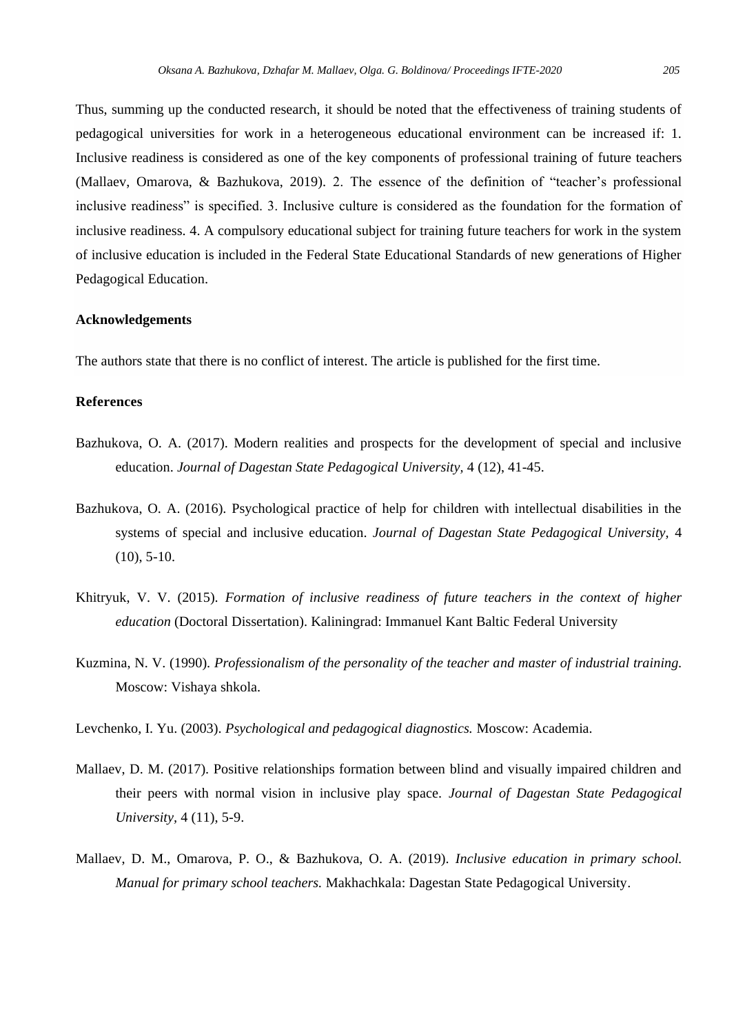Thus, summing up the conducted research, it should be noted that the effectiveness of training students of pedagogical universities for work in a heterogeneous educational environment can be increased if: 1. Inclusive readiness is considered as one of the key components of professional training of future teachers (Mallaev, Omarova, & Bazhukova, 2019). 2. The essence of the definition of "teacher's professional inclusive readiness" is specified. 3. Inclusive culture is considered as the foundation for the formation of inclusive readiness. 4. A compulsory educational subject for training future teachers for work in the system of inclusive education is included in the Federal State Educational Standards of new generations of Higher Pedagogical Education.

## **Acknowledgements**

The authors state that there is no conflict of interest. The article is published for the first time.

# **References**

- Bazhukova, O. A. (2017). Modern realities and prospects for the development of special and inclusive education. *Journal of Dagestan State Pedagogical University,* 4 (12), 41-45.
- Bazhukova, O. A. (2016). Psychological practice of help for children with intellectual disabilities in the systems of special and inclusive education. *Journal of Dagestan State Pedagogical University,* 4  $(10)$ , 5-10.
- Khitryuk, V. V. (2015). *Formation of inclusive readiness of future teachers in the context of higher education* (Doctoral Dissertation). Kaliningrad: Immanuel Kant Baltic Federal University
- Kuzmina, N. V. (1990). *Professionalism of the personality of the teacher and master of industrial training.*  Moscow: Vishaya shkola.
- Levchenko, I. Yu. (2003). *Psychological and pedagogical diagnostics.* Moscow: Academia.
- Mallaev, D. M. (2017). Positive relationships formation between blind and visually impaired children and their peers with normal vision in inclusive play space. *Journal of Dagestan State Pedagogical University,* 4 (11), 5-9.
- Mallaev, D. M., Omarova, P. O., & Bazhukova, O. A. (2019). *Inclusive education in primary school. Manual for primary school teachers.* Makhachkala: Dagestan State Pedagogical University.